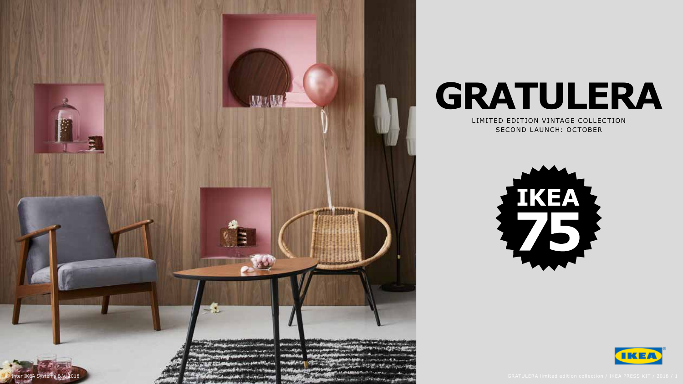

# **GRATULERA**

LIMITED EDITION VINTAGE COLLECTION SECOND LAUNCH: OCTOBER



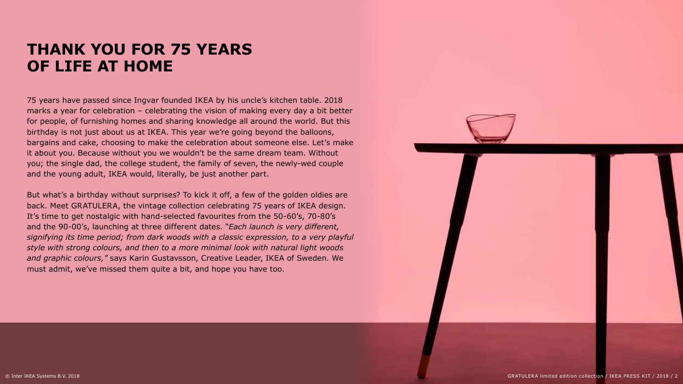### **THANK YOU FOR 75 YEARS OF LIFE AT HOME**

75 years have passed since Ingvar founded IKEA by his uncle's kitchen table. 2018 marks a year for celebration – celebrating the vision of making every day a bit better for people, of furnishing homes and sharing knowledge all around the world. But this birthday is not just about us at IKEA. This year we're going beyond the balloons, bargains and cake, choosing to make the celebration about someone else. Let's make it about you. Because without you we wouldn't be the same dream team. Without you; the single dad, the college student, the family of seven, the newly-wed couple and the young adult, IKEA would, literally, be just another part.

But what's a birthday without surprises? To kick it off, a few of the golden oldies are back. Meet GRATULERA, the vintage collection celebrating 75 years of IKEA design. It's time to get nostalgic with hand-selected favourites from the 50-60's, 70-80's and the 90-00's, launching at three different dates. "*Each launch is very different, signifying its time period; from dark woods with a classic expression, to a very playful style with strong colours, and then to a more minimal look with natural light woods and graphic colours,"* says Karin Gustavsson, Creative Leader, IKEA of Sweden. We must admit, we've missed them quite a bit, and hope you have too.

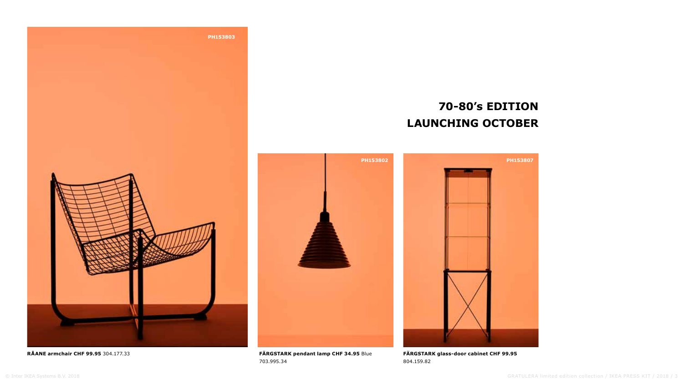

### **70-80's EDITION LAUNCHING OCTOBER**



**RÅANE armchair CHF 99.95** 304.177.33 **FÄRGSTARK pendant lamp CHF 34.95** Blue 703.995.34

**FÄRGSTARK glass-door cabinet CHF 99.95** 804.159.82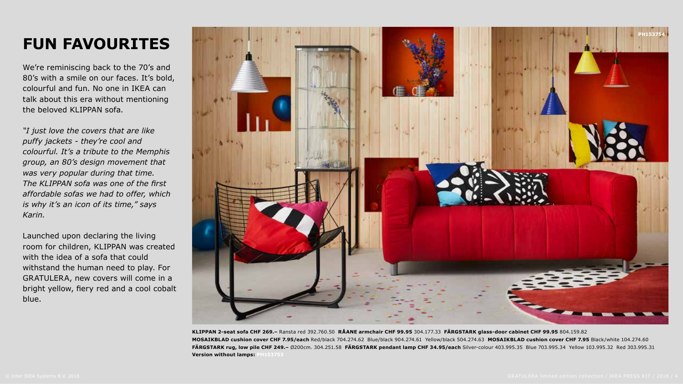## **FUN FAVOURITES**

We're reminiscing back to the 70's and 80's with a smile on our faces. It's bold, colourful and fun. No one in IKEA can talk about this era without mentioning the beloved KLIPPAN sofa.

*"I just love the covers that are like puffy jackets - they're cool and colourful. It's a tribute to the Memphis group, an 80's design movement that was very popular during that time. The KLIPPAN sofa was one of the first affordable sofas we had to offer, which is why it's an icon of its time," says Karin.*

Launched upon declaring the living room for children, KLIPPAN was created with the idea of a sofa that could withstand the human need to play. For GRATULERA, new covers will come in a bright yellow, fiery red and a cool cobalt blue.



**KLIPPAN 2-seat sofa CHF 269.–** Ransta red 392.760.50 **RÅANE armchair CHF 99.95** 304.177.33 **FÄRGSTARK glass-door cabinet CHF 99.95** 804.159.82 **MOSAIKBLAD cushion cover CHF 7.95/each** Red/black 704.274.62 Blue/black 904.274.61 Yellow/black 504.274.63 **MOSAIKBLAD cushion cover CHF 7.95** Black/white 104.274.60 **FÄRGSTARK rug, low pile CHF 249.–** Ø200cm. 304.251.58 **FÄRGSTARK pendant lamp CHF 34.95/each** Silver-colour 403.995.35 Blue 703.995.34 Yellow 103.995.32 Red 303.995.31 **Version without lamps: PH153753**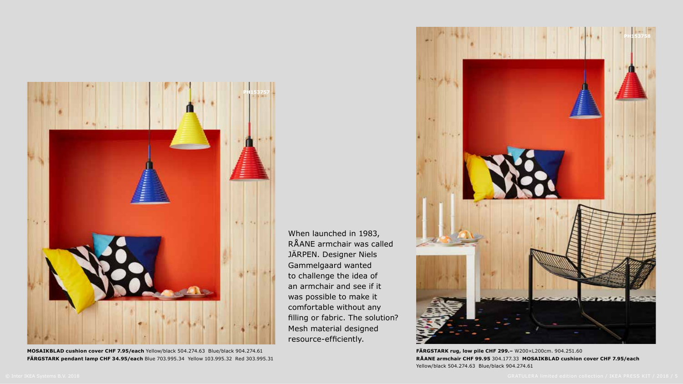

**MOSAIKBLAD cushion cover CHF 7.95/each** Yellow/black 504.274.63 Blue/black 904.274.61 **FÄRGSTARK pendant lamp CHF 34.95/each** Blue 703.995.34 Yellow 103.995.32 Red 303.995.31

When launched in 1983, RÅANE armchair was called JÄRPEN. Designer Niels Gammelgaard wanted to challenge the idea of an armchair and see if it was possible to make it comfortable without any filling or fabric. The solution? Mesh material designed resource-efficiently.



**FÄRGSTARK rug, low pile CHF 299.–** W200×L200cm. 904.251.60 **RÅANE armchair CHF 99.95** 304.177.33 **MOSAIKBLAD cushion cover CHF 7.95/each** Yellow/black 504.274.63 Blue/black 904.274.61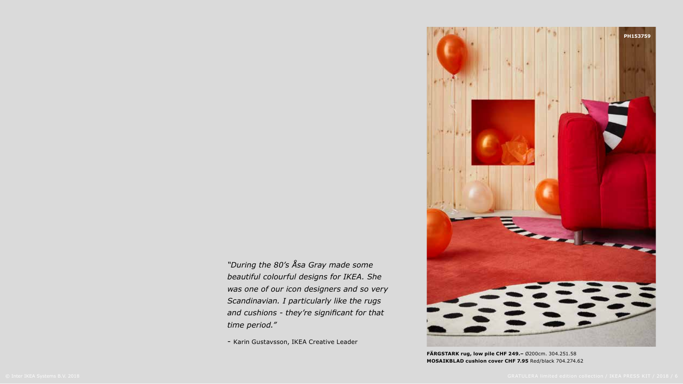*"During the 80's Åsa Gray made some beautiful colourful designs for IKEA. She was one of our icon designers and so very Scandinavian. I particularly like the rugs and cushions - they're significant for that time period."*

- Karin Gustavsson, IKEA Creative Leader



**FÄRGSTARK rug, low pile CHF 249.–** Ø200cm. 304.251.58 **MOSAIKBLAD cushion cover CHF 7.95** Red/black 704.274.62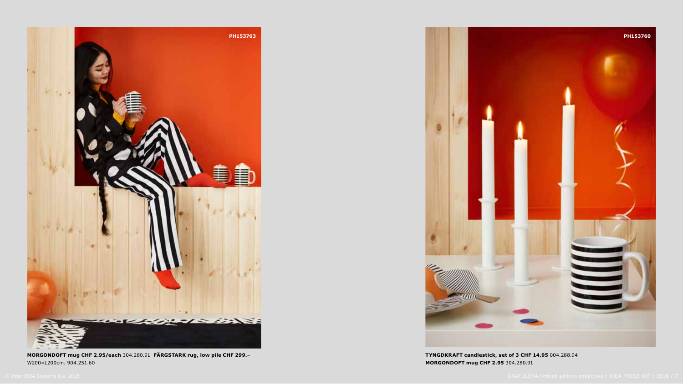

**MORGONDOFT mug CHF 2.95/each** 304.280.91 **FÄRGSTARK rug, low pile CHF 299.–** W200×L200cm. 904.251.60



**TYNGDKRAFT candlestick, set of 3 CHF 14.95** 004.288.94 **MORGONDOFT mug CHF 2.95** 304.280.91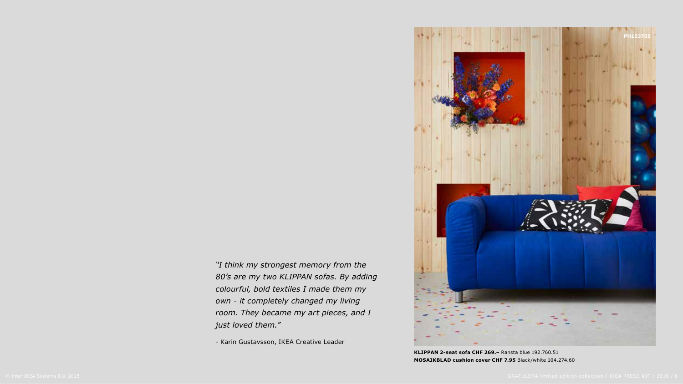*"I think my strongest memory from the 80's are my two KLIPPAN sofas. By adding colourful, bold textiles I made them my own - it completely changed my living room. They became my art pieces, and I just loved them."*

- Karin Gustavsson, IKEA Creative Leader



**KLIPPAN 2-seat sofa CHF 269.–** Ransta blue 192.760.51 **MOSAIKBLAD cushion cover CHF 7.95** Black/white 104.274.60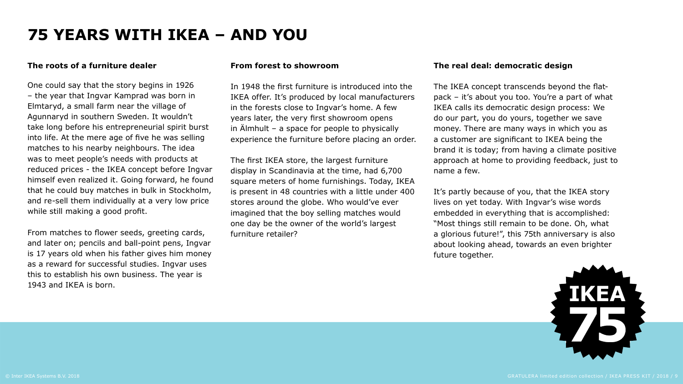## **75 YEARS WITH IKEA – AND YOU**

### **The roots of a furniture dealer**

One could say that the story begins in 1926 – the year that Ingvar Kamprad was born in Elmtaryd, a small farm near the village of Agunnaryd in southern Sweden. It wouldn't take long before his entrepreneurial spirit burst into life. At the mere age of five he was selling matches to his nearby neighbours. The idea was to meet people's needs with products at reduced prices - the IKEA concept before Ingvar himself even realized it. Going forward, he found that he could buy matches in bulk in Stockholm, and re-sell them individually at a very low price while still making a good profit.

From matches to flower seeds, greeting cards, and later on; pencils and ball-point pens, Ingvar is 17 years old when his father gives him money as a reward for successful studies. Ingvar uses this to establish his own business. The year is 1943 and IKEA is born.

#### **From forest to showroom**

In 1948 the first furniture is introduced into the IKEA offer. It's produced by local manufacturers in the forests close to Ingvar's home. A few years later, the very first showroom opens in Älmhult – a space for people to physically experience the furniture before placing an order.

The first IKEA store, the largest furniture display in Scandinavia at the time, had 6,700 square meters of home furnishings. Today, IKEA is present in 48 countries with a little under 400 stores around the globe. Who would've ever imagined that the boy selling matches would one day be the owner of the world's largest furniture retailer?

#### **The real deal: democratic design**

The IKEA concept transcends beyond the flatpack – it's about you too. You're a part of what IKEA calls its democratic design process: We do our part, you do yours, together we save money. There are many ways in which you as a customer are significant to IKEA being the brand it is today; from having a climate positive approach at home to providing feedback, just to name a few.

It's partly because of you, that the IKEA story lives on yet today. With Ingvar's wise words embedded in everything that is accomplished: "Most things still remain to be done. Oh, what a glorious future!", this 75th anniversary is also about looking ahead, towards an even brighter future together.

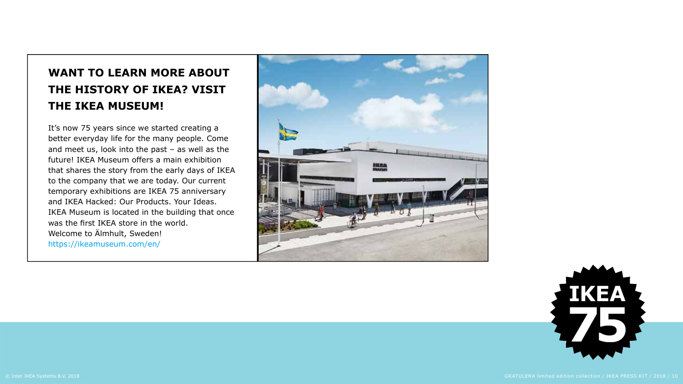### **WANT TO LEARN MORE ABOUT THE HISTORY OF IKEA? VISIT THE IKEA MUSEUM!**

It's now 75 years since we started creating a better everyday life for the many people. Come and meet us, look into the past – as well as the future! IKEA Museum offers a main exhibition that shares the story from the early days of IKEA to the company that we are today. Our current temporary exhibitions are IKEA 75 anniversary and IKEA Hacked: Our Products. Your Ideas. IKEA Museum is located in the building that once was the first IKEA store in the world. Welcome to Älmhult, Sweden! https://ikeamuseum.com/en/



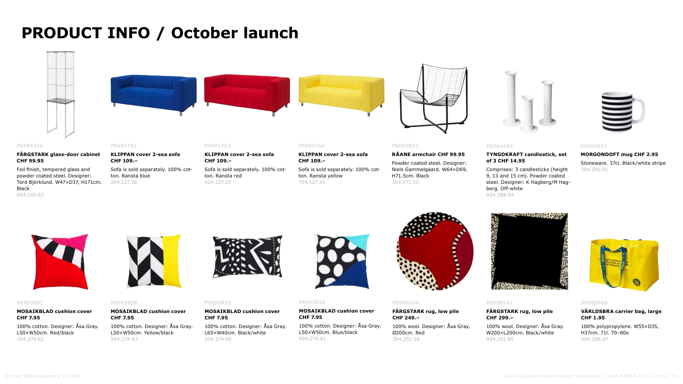### **PRODUCT INFO / October launch**



**FÄRGSTARK glass-door cabinet** 

Foil finish, tempered glass and powder coated steel. Designer: Tord Björklund. W47×D37, H171cm.

**CHF 99.95** 

Black 804.159.82





**PE691754**

**CHF 109.–** 

ton. Ransta yellow 704.127.24

**KLIPPAN cover 2-sea sofa** 

Sofa is sold separately. 100% cot-



#### **PE693853 RÅANE armchair CHF 99.95**

Powder coated steel. Designer: Niels Gammelgaard. W64×D69, H71.5cm. Black 304.177.33



**TYNGDKRAFT candlestick, set** 

Comprises: 3 candlesticks (height 9, 13 and 15 cm). Powder coated steel. Designer: K Hagberg/M Hag-



#### **PE693852**

**MORGONDOFT mug CHF 2.95**  Stoneware. 37cl. Black/white stripe 304.280.91





#### **PE693857**

**MOSAIKBLAD cushion cover CHF 7.95**  100% cotton. Designer: Åsa Gray. L50×W50cm. Red/black

704.274.62



**KLIPPAN cover 2-sea sofa** 

Sofa is sold separately. 100% cot-

#### **PE693858**

**MOSAIKBLAD cushion cover CHF 7.95**  100% cotton. Designer: Åsa Gray. L50×W50cm. Yellow/black 504.274.63

**PE691752**

**CHF 109.–** 

ton. Ransta blue 204.127.26

**PE693855**

**PE691753**

**CHF 109.–** 

ton. Ransta red 404.127.25

**KLIPPAN cover 2-sea sofa** 

Sofa is sold separately. 100% cot-

**MOSAIKBLAD cushion cover CHF 7.95** 

100% cotton. Designer: Åsa Gray. L65×W40cm. Black/white 104.274.60



#### **PE693856**

#### **MOSAIKBLAD cushion cover CHF 7.95**

100% cotton. Designer: Åsa Gray. L50×W50cm. Blue/black 904.274.61



#### **PE698234**

**FÄRGSTARK rug, low pile CHF 249.–** 

100% wool. Designer: Åsa Gray. Ø200cm. Red 304.251.58



#### **PE698242**

**PE704485**

**of 3 CHF 14.95** 

berg. Off-white 004.288.94

**FÄRGSTARK rug, low pile CHF 299.–**  100% wool. Designer: Åsa Gray. W200×L200cm. Black/white 904.251.60



#### **PE695868**

**VÄRLDSBRA carrier bag, large CHF 1.95** 

100% polypropylene. W55×D35, H37cm. 71l. 70–80s 504.296.07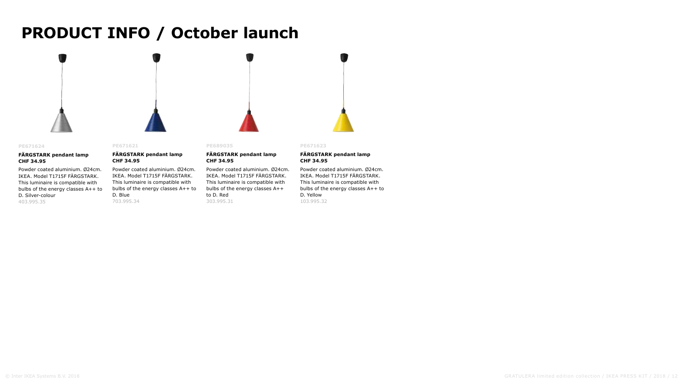## **PRODUCT INFO / October launch**



#### **PE671624**

#### **FÄRGSTARK pendant lamp CHF 34.95**

Powder coated aluminium. Ø24cm. IKEA. Model T1715F FÄRGSTARK. This luminaire is compatible with bulbs of the energy classes A++ to D. Silver-colour 403.995.35

#### **PE671621**

#### **FÄRGSTARK pendant lamp CHF 34.95**

Powder coated aluminium. Ø24cm. IKEA. Model T1715F FÄRGSTARK. This luminaire is compatible with bulbs of the energy classes A++ to D. Blue 703.995.34

#### **FÄRGSTARK pendant lamp CHF 34.95**  Powder coated aluminium. Ø24cm.

**PE689035**

IKEA. Model T1715F FÄRGSTARK. This luminaire is compatible with bulbs of the energy classes A++ to D. Red 303.995.31

#### **PE671623**

#### **FÄRGSTARK pendant lamp CHF 34.95**

Powder coated aluminium. Ø24cm. IKEA. Model T1715F FÄRGSTARK. This luminaire is compatible with bulbs of the energy classes A++ to D. Yellow 103.995.32